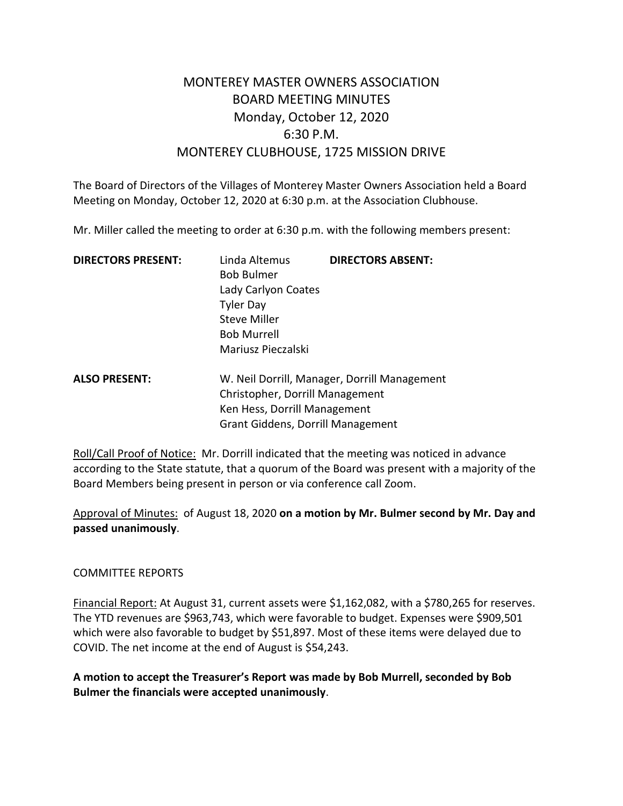# MONTEREY MASTER OWNERS ASSOCIATION BOARD MEETING MINUTES Monday, October 12, 2020 6:30 P.M. MONTEREY CLUBHOUSE, 1725 MISSION DRIVE

The Board of Directors of the Villages of Monterey Master Owners Association held a Board Meeting on Monday, October 12, 2020 at 6:30 p.m. at the Association Clubhouse.

Mr. Miller called the meeting to order at 6:30 p.m. with the following members present:

| <b>DIRECTORS PRESENT:</b> | Linda Altemus<br><b>Bob Bulmer</b><br>Lady Carlyon Coates<br><b>Tyler Day</b><br><b>Steve Miller</b><br><b>Bob Murrell</b><br>Mariusz Pieczalski | <b>DIRECTORS ABSENT:</b>                     |
|---------------------------|--------------------------------------------------------------------------------------------------------------------------------------------------|----------------------------------------------|
| <b>ALSO PRESENT:</b>      |                                                                                                                                                  | W. Neil Dorrill, Manager, Dorrill Management |

| ALSO PRESENT: | W. Neil Dorrill, Manager, Dorrill Managemen |  |
|---------------|---------------------------------------------|--|
|               | Christopher, Dorrill Management             |  |
|               | Ken Hess, Dorrill Management                |  |
|               | <b>Grant Giddens, Dorrill Management</b>    |  |
|               |                                             |  |

Roll/Call Proof of Notice: Mr. Dorrill indicated that the meeting was noticed in advance according to the State statute, that a quorum of the Board was present with a majority of the Board Members being present in person or via conference call Zoom.

Approval of Minutes: of August 18, 2020 **on a motion by Mr. Bulmer second by Mr. Day and passed unanimously**.

#### COMMITTEE REPORTS

Financial Report: At August 31, current assets were \$1,162,082, with a \$780,265 for reserves. The YTD revenues are \$963,743, which were favorable to budget. Expenses were \$909,501 which were also favorable to budget by \$51,897. Most of these items were delayed due to COVID. The net income at the end of August is \$54,243.

**A motion to accept the Treasurer's Report was made by Bob Murrell, seconded by Bob Bulmer the financials were accepted unanimously**.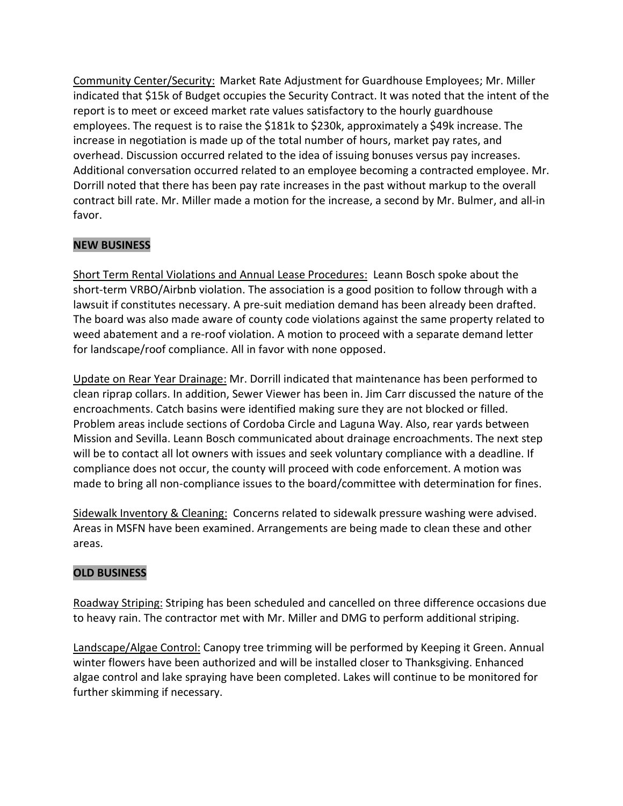Community Center/Security: Market Rate Adjustment for Guardhouse Employees; Mr. Miller indicated that \$15k of Budget occupies the Security Contract. It was noted that the intent of the report is to meet or exceed market rate values satisfactory to the hourly guardhouse employees. The request is to raise the \$181k to \$230k, approximately a \$49k increase. The increase in negotiation is made up of the total number of hours, market pay rates, and overhead. Discussion occurred related to the idea of issuing bonuses versus pay increases. Additional conversation occurred related to an employee becoming a contracted employee. Mr. Dorrill noted that there has been pay rate increases in the past without markup to the overall contract bill rate. Mr. Miller made a motion for the increase, a second by Mr. Bulmer, and all-in favor.

# **NEW BUSINESS**

Short Term Rental Violations and Annual Lease Procedures: Leann Bosch spoke about the short-term VRBO/Airbnb violation. The association is a good position to follow through with a lawsuit if constitutes necessary. A pre-suit mediation demand has been already been drafted. The board was also made aware of county code violations against the same property related to weed abatement and a re-roof violation. A motion to proceed with a separate demand letter for landscape/roof compliance. All in favor with none opposed.

Update on Rear Year Drainage: Mr. Dorrill indicated that maintenance has been performed to clean riprap collars. In addition, Sewer Viewer has been in. Jim Carr discussed the nature of the encroachments. Catch basins were identified making sure they are not blocked or filled. Problem areas include sections of Cordoba Circle and Laguna Way. Also, rear yards between Mission and Sevilla. Leann Bosch communicated about drainage encroachments. The next step will be to contact all lot owners with issues and seek voluntary compliance with a deadline. If compliance does not occur, the county will proceed with code enforcement. A motion was made to bring all non-compliance issues to the board/committee with determination for fines.

Sidewalk Inventory & Cleaning: Concerns related to sidewalk pressure washing were advised. Areas in MSFN have been examined. Arrangements are being made to clean these and other areas.

## **OLD BUSINESS**

Roadway Striping: Striping has been scheduled and cancelled on three difference occasions due to heavy rain. The contractor met with Mr. Miller and DMG to perform additional striping.

Landscape/Algae Control: Canopy tree trimming will be performed by Keeping it Green. Annual winter flowers have been authorized and will be installed closer to Thanksgiving. Enhanced algae control and lake spraying have been completed. Lakes will continue to be monitored for further skimming if necessary.